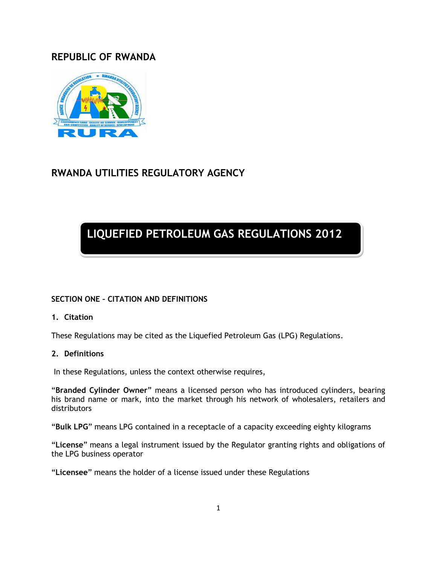# **REPUBLIC OF RWANDA**



# **RWANDA UTILITIES REGULATORY AGENCY**

# **LIQUEFIED PETROLEUM GAS REGULATIONS 2012**

# **SECTION ONE – CITATION AND DEFINITIONS**

#### **1. Citation**

These Regulations may be cited as the Liquefied Petroleum Gas (LPG) Regulations.

#### **2. Definitions**

In these Regulations, unless the context otherwise requires,

"**Branded Cylinder Owner**" means a licensed person who has introduced cylinders, bearing his brand name or mark, into the market through his network of wholesalers, retailers and distributors

"**Bulk LPG**" means LPG contained in a receptacle of a capacity exceeding eighty kilograms

"**License**" means a legal instrument issued by the Regulator granting rights and obligations of the LPG business operator

"**Licensee**" means the holder of a license issued under these Regulations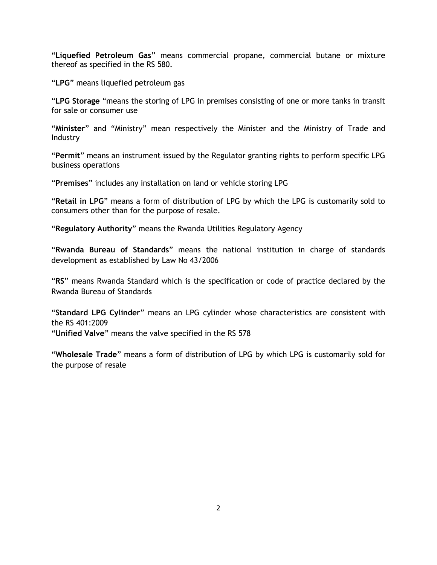"**Liquefied Petroleum Gas**" means commercial propane, commercial butane or mixture thereof as specified in the RS 580.

"**LPG**" means liquefied petroleum gas

"**LPG Storage** "means the storing of LPG in premises consisting of one or more tanks in transit for sale or consumer use

"**Minister**" and "Ministry" mean respectively the Minister and the Ministry of Trade and Industry

"**Permit**" means an instrument issued by the Regulator granting rights to perform specific LPG business operations

"**Premises**" includes any installation on land or vehicle storing LPG

"**Retail in LPG**" means a form of distribution of LPG by which the LPG is customarily sold to consumers other than for the purpose of resale.

"**Regulatory Authority**" means the Rwanda Utilities Regulatory Agency

"**Rwanda Bureau of Standards**" means the national institution in charge of standards development as established by Law No 43/2006

"**RS**" means Rwanda Standard which is the specification or code of practice declared by the Rwanda Bureau of Standards

"**Standard LPG Cylinder**" means an LPG cylinder whose characteristics are consistent with the RS 401:2009

"**Unified Valve**" means the valve specified in the RS 578

"**Wholesale Trade**" means a form of distribution of LPG by which LPG is customarily sold for the purpose of resale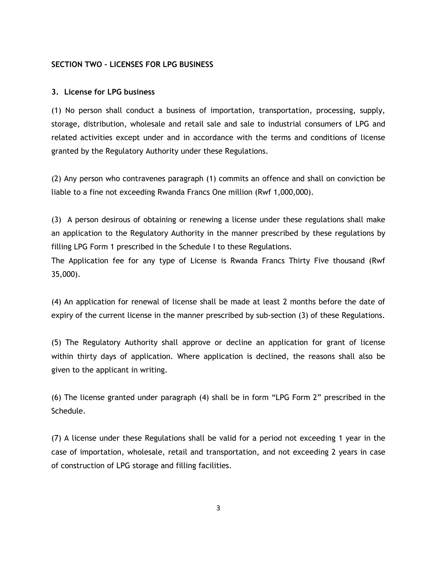#### **SECTION TWO – LICENSES FOR LPG BUSINESS**

#### **3. License for LPG business**

(1) No person shall conduct a business of importation, transportation, processing, supply, storage, distribution, wholesale and retail sale and sale to industrial consumers of LPG and related activities except under and in accordance with the terms and conditions of license granted by the Regulatory Authority under these Regulations.

(2) Any person who contravenes paragraph (1) commits an offence and shall on conviction be liable to a fine not exceeding Rwanda Francs One million (Rwf 1,000,000).

(3) A person desirous of obtaining or renewing a license under these regulations shall make an application to the Regulatory Authority in the manner prescribed by these regulations by filling LPG Form 1 prescribed in the Schedule I to these Regulations.

The Application fee for any type of License is Rwanda Francs Thirty Five thousand (Rwf 35,000).

(4) An application for renewal of license shall be made at least 2 months before the date of expiry of the current license in the manner prescribed by sub-section (3) of these Regulations.

(5) The Regulatory Authority shall approve or decline an application for grant of license within thirty days of application. Where application is declined, the reasons shall also be given to the applicant in writing.

(6) The license granted under paragraph (4) shall be in form "LPG Form 2" prescribed in the Schedule.

(7) A license under these Regulations shall be valid for a period not exceeding 1 year in the case of importation, wholesale, retail and transportation, and not exceeding 2 years in case of construction of LPG storage and filling facilities.

3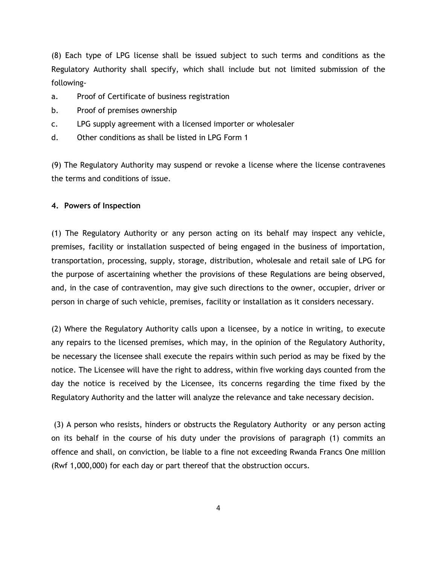(8) Each type of LPG license shall be issued subject to such terms and conditions as the Regulatory Authority shall specify, which shall include but not limited submission of the following-

- a. Proof of Certificate of business registration
- b. Proof of premises ownership
- c. LPG supply agreement with a licensed importer or wholesaler
- d. Other conditions as shall be listed in LPG Form 1

(9) The Regulatory Authority may suspend or revoke a license where the license contravenes the terms and conditions of issue.

#### **4. Powers of Inspection**

(1) The Regulatory Authority or any person acting on its behalf may inspect any vehicle, premises, facility or installation suspected of being engaged in the business of importation, transportation, processing, supply, storage, distribution, wholesale and retail sale of LPG for the purpose of ascertaining whether the provisions of these Regulations are being observed, and, in the case of contravention, may give such directions to the owner, occupier, driver or person in charge of such vehicle, premises, facility or installation as it considers necessary.

(2) Where the Regulatory Authority calls upon a licensee, by a notice in writing, to execute any repairs to the licensed premises, which may, in the opinion of the Regulatory Authority, be necessary the licensee shall execute the repairs within such period as may be fixed by the notice. The Licensee will have the right to address, within five working days counted from the day the notice is received by the Licensee, its concerns regarding the time fixed by the Regulatory Authority and the latter will analyze the relevance and take necessary decision.

(3) A person who resists, hinders or obstructs the Regulatory Authority or any person acting on its behalf in the course of his duty under the provisions of paragraph (1) commits an offence and shall, on conviction, be liable to a fine not exceeding Rwanda Francs One million (Rwf 1,000,000) for each day or part thereof that the obstruction occurs.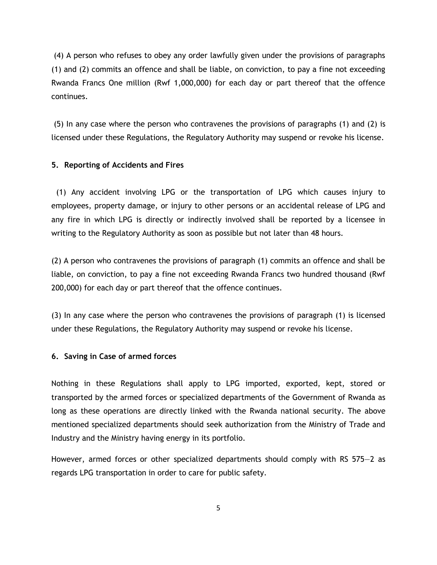(4) A person who refuses to obey any order lawfully given under the provisions of paragraphs (1) and (2) commits an offence and shall be liable, on conviction, to pay a fine not exceeding Rwanda Francs One million (Rwf 1,000,000) for each day or part thereof that the offence continues.

(5) In any case where the person who contravenes the provisions of paragraphs (1) and (2) is licensed under these Regulations, the Regulatory Authority may suspend or revoke his license.

#### **5. Reporting of Accidents and Fires**

 (1) Any accident involving LPG or the transportation of LPG which causes injury to employees, property damage, or injury to other persons or an accidental release of LPG and any fire in which LPG is directly or indirectly involved shall be reported by a licensee in writing to the Regulatory Authority as soon as possible but not later than 48 hours.

(2) A person who contravenes the provisions of paragraph (1) commits an offence and shall be liable, on conviction, to pay a fine not exceeding Rwanda Francs two hundred thousand (Rwf 200,000) for each day or part thereof that the offence continues.

(3) In any case where the person who contravenes the provisions of paragraph (1) is licensed under these Regulations, the Regulatory Authority may suspend or revoke his license.

#### **6. Saving in Case of armed forces**

Nothing in these Regulations shall apply to LPG imported, exported, kept, stored or transported by the armed forces or specialized departments of the Government of Rwanda as long as these operations are directly linked with the Rwanda national security. The above mentioned specialized departments should seek authorization from the Ministry of Trade and Industry and the Ministry having energy in its portfolio.

However, armed forces or other specialized departments should comply with RS 575—2 as regards LPG transportation in order to care for public safety.

5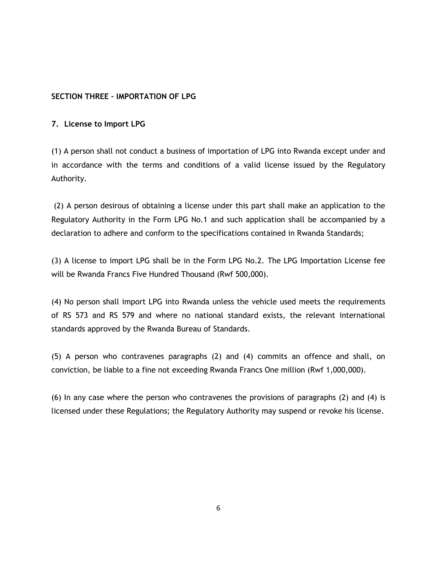## **SECTION THREE – IMPORTATION OF LPG**

#### **7. License to Import LPG**

(1) A person shall not conduct a business of importation of LPG into Rwanda except under and in accordance with the terms and conditions of a valid license issued by the Regulatory Authority.

(2) A person desirous of obtaining a license under this part shall make an application to the Regulatory Authority in the Form LPG No.1 and such application shall be accompanied by a declaration to adhere and conform to the specifications contained in Rwanda Standards;

(3) A license to import LPG shall be in the Form LPG No.2. The LPG Importation License fee will be Rwanda Francs Five Hundred Thousand (Rwf 500,000).

(4) No person shall import LPG into Rwanda unless the vehicle used meets the requirements of RS 573 and RS 579 and where no national standard exists, the relevant international standards approved by the Rwanda Bureau of Standards.

(5) A person who contravenes paragraphs (2) and (4) commits an offence and shall, on conviction, be liable to a fine not exceeding Rwanda Francs One million (Rwf 1,000,000).

(6) In any case where the person who contravenes the provisions of paragraphs (2) and (4) is licensed under these Regulations; the Regulatory Authority may suspend or revoke his license.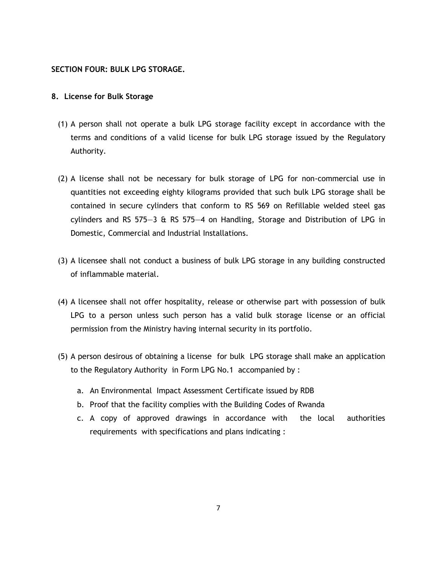#### **SECTION FOUR: BULK LPG STORAGE.**

#### **8. License for Bulk Storage**

- (1) A person shall not operate a bulk LPG storage facility except in accordance with the terms and conditions of a valid license for bulk LPG storage issued by the Regulatory Authority.
- (2) A license shall not be necessary for bulk storage of LPG for non-commercial use in quantities not exceeding eighty kilograms provided that such bulk LPG storage shall be contained in secure cylinders that conform to RS 569 on Refillable welded steel gas cylinders and RS 575—3 & RS 575—4 on Handling, Storage and Distribution of LPG in Domestic, Commercial and Industrial Installations.
- (3) A licensee shall not conduct a business of bulk LPG storage in any building constructed of inflammable material.
- (4) A licensee shall not offer hospitality, release or otherwise part with possession of bulk LPG to a person unless such person has a valid bulk storage license or an official permission from the Ministry having internal security in its portfolio.
- (5) A person desirous of obtaining a license for bulk LPG storage shall make an application to the Regulatory Authority in Form LPG No.1 accompanied by :
	- a. An Environmental Impact Assessment Certificate issued by RDB
	- b. Proof that the facility complies with the Building Codes of Rwanda
	- c. A copy of approved drawings in accordance with the local authorities requirements with specifications and plans indicating :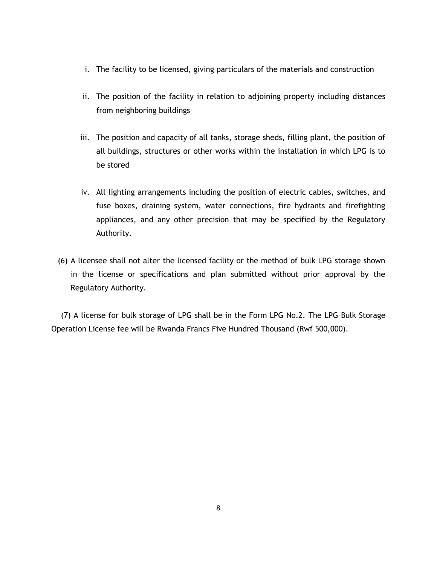- i. The facility to be licensed, giving particulars of the materials and construction
- ii. The position of the facility in relation to adjoining property including distances from neighboring buildings
- iii. The position and capacity of all tanks, storage sheds, filling plant, the position of all buildings, structures or other works within the installation in which LPG is to be stored
- iv. All lighting arrangements including the position of electric cables, switches, and fuse boxes, draining system, water connections, fire hydrants and firefighting appliances, and any other precision that may be specified by the Regulatory Authority.
- (6) A licensee shall not alter the licensed facility or the method of bulk LPG storage shown in the license or specifications and plan submitted without prior approval by the Regulatory Authority.

 (7) A license for bulk storage of LPG shall be in the Form LPG No.2. The LPG Bulk Storage Operation License fee will be Rwanda Francs Five Hundred Thousand (Rwf 500,000).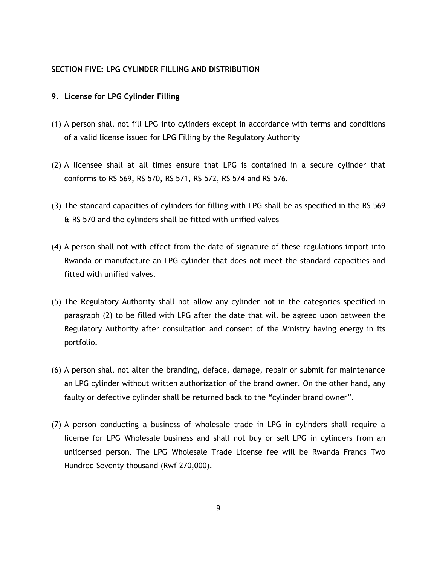#### **SECTION FIVE: LPG CYLINDER FILLING AND DISTRIBUTION**

#### **9. License for LPG Cylinder Filling**

- (1) A person shall not fill LPG into cylinders except in accordance with terms and conditions of a valid license issued for LPG Filling by the Regulatory Authority
- (2) A licensee shall at all times ensure that LPG is contained in a secure cylinder that conforms to RS 569, RS 570, RS 571, RS 572, RS 574 and RS 576.
- (3) The standard capacities of cylinders for filling with LPG shall be as specified in the RS 569 & RS 570 and the cylinders shall be fitted with unified valves
- (4) A person shall not with effect from the date of signature of these regulations import into Rwanda or manufacture an LPG cylinder that does not meet the standard capacities and fitted with unified valves.
- (5) The Regulatory Authority shall not allow any cylinder not in the categories specified in paragraph (2) to be filled with LPG after the date that will be agreed upon between the Regulatory Authority after consultation and consent of the Ministry having energy in its portfolio.
- (6) A person shall not alter the branding, deface, damage, repair or submit for maintenance an LPG cylinder without written authorization of the brand owner. On the other hand, any faulty or defective cylinder shall be returned back to the "cylinder brand owner".
- (7) A person conducting a business of wholesale trade in LPG in cylinders shall require a license for LPG Wholesale business and shall not buy or sell LPG in cylinders from an unlicensed person. The LPG Wholesale Trade License fee will be Rwanda Francs Two Hundred Seventy thousand (Rwf 270,000).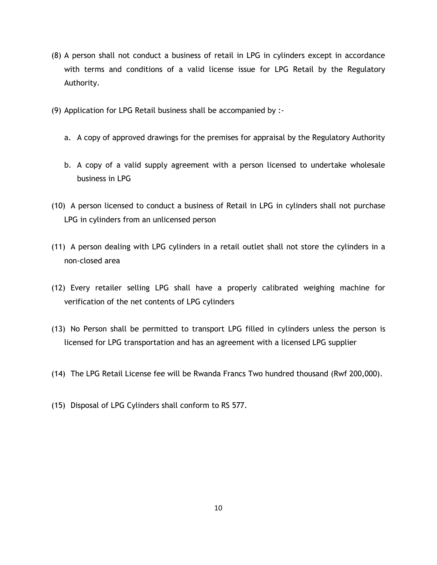- (8) A person shall not conduct a business of retail in LPG in cylinders except in accordance with terms and conditions of a valid license issue for LPG Retail by the Regulatory Authority.
- (9) Application for LPG Retail business shall be accompanied by :
	- a. A copy of approved drawings for the premises for appraisal by the Regulatory Authority
	- b. A copy of a valid supply agreement with a person licensed to undertake wholesale business in LPG
- (10) A person licensed to conduct a business of Retail in LPG in cylinders shall not purchase LPG in cylinders from an unlicensed person
- (11) A person dealing with LPG cylinders in a retail outlet shall not store the cylinders in a non-closed area
- (12) Every retailer selling LPG shall have a properly calibrated weighing machine for verification of the net contents of LPG cylinders
- (13) No Person shall be permitted to transport LPG filled in cylinders unless the person is licensed for LPG transportation and has an agreement with a licensed LPG supplier
- (14) The LPG Retail License fee will be Rwanda Francs Two hundred thousand (Rwf 200,000).
- (15) Disposal of LPG Cylinders shall conform to RS 577.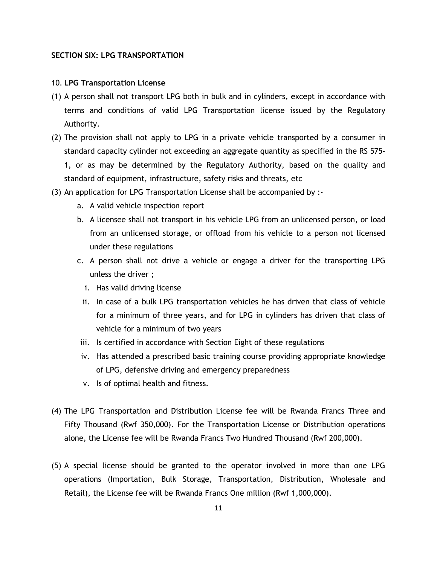#### **SECTION SIX: LPG TRANSPORTATION**

#### 10. **LPG Transportation License**

- (1) A person shall not transport LPG both in bulk and in cylinders, except in accordance with terms and conditions of valid LPG Transportation license issued by the Regulatory Authority.
- (2) The provision shall not apply to LPG in a private vehicle transported by a consumer in standard capacity cylinder not exceeding an aggregate quantity as specified in the RS 575- 1, or as may be determined by the Regulatory Authority, based on the quality and standard of equipment, infrastructure, safety risks and threats, etc
- (3) An application for LPG Transportation License shall be accompanied by :
	- a. A valid vehicle inspection report
	- b. A licensee shall not transport in his vehicle LPG from an unlicensed person, or load from an unlicensed storage, or offload from his vehicle to a person not licensed under these regulations
	- c. A person shall not drive a vehicle or engage a driver for the transporting LPG unless the driver ;
		- i. Has valid driving license
		- ii. In case of a bulk LPG transportation vehicles he has driven that class of vehicle for a minimum of three years, and for LPG in cylinders has driven that class of vehicle for a minimum of two years
	- iii. Is certified in accordance with Section Eight of these regulations
	- iv. Has attended a prescribed basic training course providing appropriate knowledge of LPG, defensive driving and emergency preparedness
	- v. Is of optimal health and fitness.
- (4) The LPG Transportation and Distribution License fee will be Rwanda Francs Three and Fifty Thousand (Rwf 350,000). For the Transportation License or Distribution operations alone, the License fee will be Rwanda Francs Two Hundred Thousand (Rwf 200,000).
- (5) A special license should be granted to the operator involved in more than one LPG operations (Importation, Bulk Storage, Transportation, Distribution, Wholesale and Retail), the License fee will be Rwanda Francs One million (Rwf 1,000,000).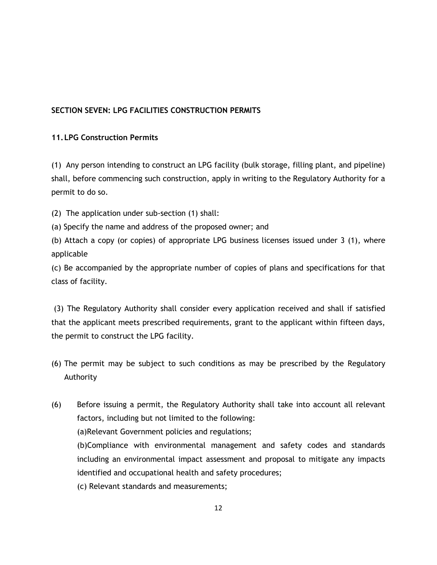# **SECTION SEVEN: LPG FACILITIES CONSTRUCTION PERMITS**

## **11.LPG Construction Permits**

(1) Any person intending to construct an LPG facility (bulk storage, filling plant, and pipeline) shall, before commencing such construction, apply in writing to the Regulatory Authority for a permit to do so.

(2) The application under sub-section (1) shall:

(a) Specify the name and address of the proposed owner; and

(b) Attach a copy (or copies) of appropriate LPG business licenses issued under 3 (1), where applicable

(c) Be accompanied by the appropriate number of copies of plans and specifications for that class of facility.

(3) The Regulatory Authority shall consider every application received and shall if satisfied that the applicant meets prescribed requirements, grant to the applicant within fifteen days, the permit to construct the LPG facility.

- (6) The permit may be subject to such conditions as may be prescribed by the Regulatory Authority
- (6) Before issuing a permit, the Regulatory Authority shall take into account all relevant factors, including but not limited to the following: (a)Relevant Government policies and regulations; (b)Compliance with environmental management and safety codes and standards including an environmental impact assessment and proposal to mitigate any impacts identified and occupational health and safety procedures;
	- (c) Relevant standards and measurements;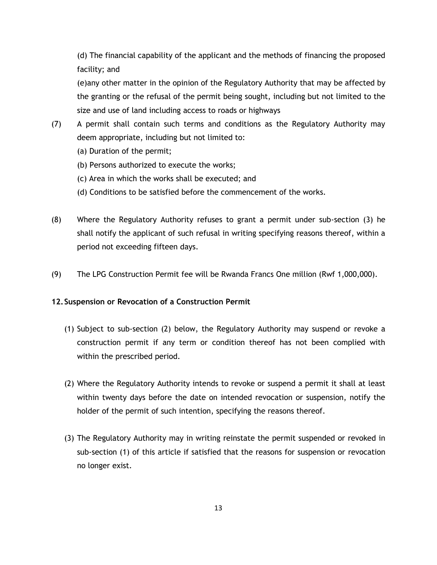(d) The financial capability of the applicant and the methods of financing the proposed facility; and

(e)any other matter in the opinion of the Regulatory Authority that may be affected by the granting or the refusal of the permit being sought, including but not limited to the size and use of land including access to roads or highways

- (7) A permit shall contain such terms and conditions as the Regulatory Authority may deem appropriate, including but not limited to:
	- (a) Duration of the permit;
	- (b) Persons authorized to execute the works;
	- (c) Area in which the works shall be executed; and
	- (d) Conditions to be satisfied before the commencement of the works.
- (8) Where the Regulatory Authority refuses to grant a permit under sub-section (3) he shall notify the applicant of such refusal in writing specifying reasons thereof, within a period not exceeding fifteen days.
- (9) The LPG Construction Permit fee will be Rwanda Francs One million (Rwf 1,000,000).

#### **12.Suspension or Revocation of a Construction Permit**

- (1) Subject to sub-section (2) below, the Regulatory Authority may suspend or revoke a construction permit if any term or condition thereof has not been complied with within the prescribed period.
- (2) Where the Regulatory Authority intends to revoke or suspend a permit it shall at least within twenty days before the date on intended revocation or suspension, notify the holder of the permit of such intention, specifying the reasons thereof.
- (3) The Regulatory Authority may in writing reinstate the permit suspended or revoked in sub-section (1) of this article if satisfied that the reasons for suspension or revocation no longer exist.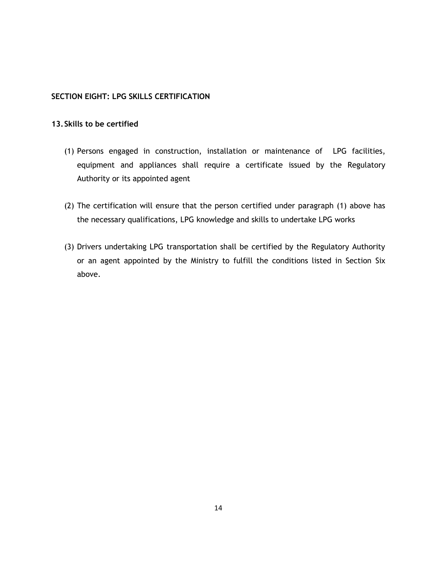#### **SECTION EIGHT: LPG SKILLS CERTIFICATION**

#### **13.Skills to be certified**

- (1) Persons engaged in construction, installation or maintenance of LPG facilities, equipment and appliances shall require a certificate issued by the Regulatory Authority or its appointed agent
- (2) The certification will ensure that the person certified under paragraph (1) above has the necessary qualifications, LPG knowledge and skills to undertake LPG works
- (3) Drivers undertaking LPG transportation shall be certified by the Regulatory Authority or an agent appointed by the Ministry to fulfill the conditions listed in Section Six above.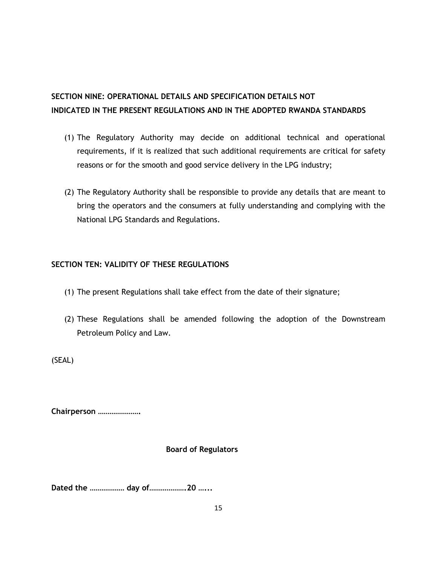# **SECTION NINE: OPERATIONAL DETAILS AND SPECIFICATION DETAILS NOT INDICATED IN THE PRESENT REGULATIONS AND IN THE ADOPTED RWANDA STANDARDS**

- (1) The Regulatory Authority may decide on additional technical and operational requirements, if it is realized that such additional requirements are critical for safety reasons or for the smooth and good service delivery in the LPG industry;
- (2) The Regulatory Authority shall be responsible to provide any details that are meant to bring the operators and the consumers at fully understanding and complying with the National LPG Standards and Regulations.

# **SECTION TEN: VALIDITY OF THESE REGULATIONS**

- (1) The present Regulations shall take effect from the date of their signature;
- (2) These Regulations shall be amended following the adoption of the Downstream Petroleum Policy and Law.

(SEAL)

**Chairperson ………………….**

# **Board of Regulators**

**Dated the ……………… day of……………….20 …...**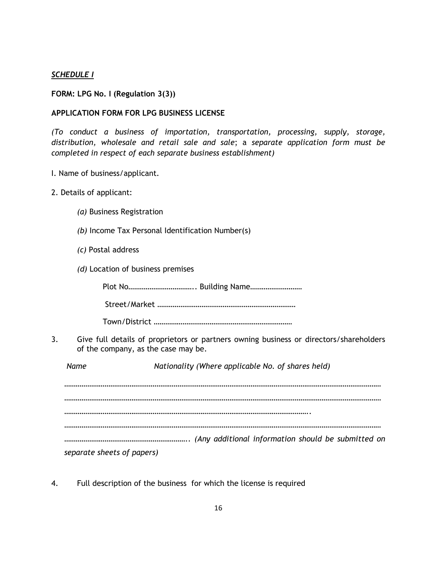### *SCHEDULE I*

#### **FORM: LPG No. I (Regulation 3(3))**

#### **APPLICATION FORM FOR LPG BUSINESS LICENSE**

*(To conduct a business of importation, transportation, processing, supply, storage, distribution, wholesale and retail sale and sale*; a *separate application form must be completed in respect of each separate business establishment)*

- I. Name of business/applicant.
- 2. Details of applicant:
	- *(a)* Business Registration
	- *(b)* Income Tax Personal Identification Number(s)
	- *(c)* Postal address
	- *(d)* Location of business premises

Plot No…………………………….. Building Name………………………

Street/Market ………………………………………………………………

Town/District ………………………………………………………………

3. Give full details of proprietors or partners owning business or directors/shareholders of the company, as the case may be.

*Name Nationality (Where applicable No. of shares held) ………………………………………………………………………………………………………………………………………………… ……………………………………………………………………………………………………………….. ………………………………………………………………………………………………………………………………………………… ……………………………………………………….. (Any additional information should be submitted on separate sheets of papers)*

4. Full description of the business for which the license is required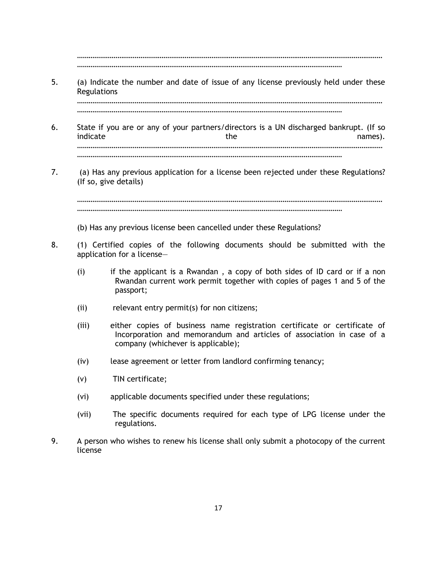…………………………………………………………………………………………………………………………………………… …………………………………………………………………………………………………………………………

5. (a) Indicate the number and date of issue of any license previously held under these Regulations ……………………………………………………………………………………………………………………………………………

…………………………………………………………………………………………………………………………

- 6. State if you are or any of your partners/directors is a UN discharged bankrupt. (If so indicate and the names). …………………………………………………………………………………………………………………………………………… …………………………………………………………………………………………………………………………
- 7. (a) Has any previous application for a license been rejected under these Regulations? (If so, give details)

…………………………………………………………………………………………………………………………………………… …………………………………………………………………………………………………………………………

- (b) Has any previous license been cancelled under these Regulations?
- 8. (1) Certified copies of the following documents should be submitted with the application for a license—
	- (i) if the applicant is a Rwandan , a copy of both sides of ID card or if a non Rwandan current work permit together with copies of pages 1 and 5 of the passport;
	- (ii) relevant entry permit(s) for non citizens;
	- (iii) either copies of business name registration certificate or certificate of Incorporation and memorandum and articles of association in case of a company (whichever is applicable);
	- (iv) lease agreement or letter from landlord confirming tenancy;
	- (v) TIN certificate;
	- (vi) applicable documents specified under these regulations;
	- (vii) The specific documents required for each type of LPG license under the regulations.
- 9. A person who wishes to renew his license shall only submit a photocopy of the current license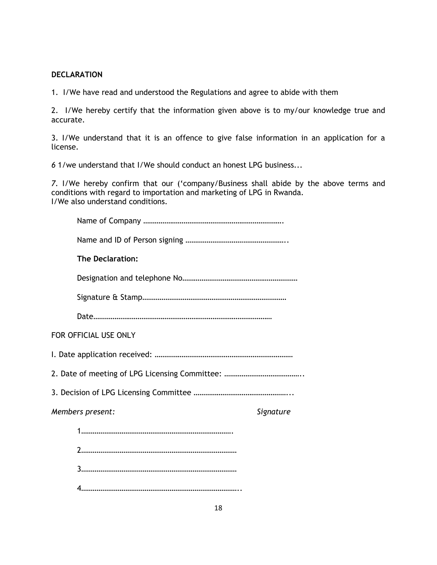#### **DECLARATION**

1.I/We have read and understood the Regulations and agree to abide with them

2. I/We hereby certify that the information given above is to my/our knowledge true and accurate.

3. I/We understand that it is an offence to give false information in an application for a license.

*6* 1/we understand that I/We should conduct an honest LPG business...

*7.* I/We hereby confirm that our ("company/Business shall abide by the above terms and conditions with regard to importation and marketing of LPG in Rwanda. I/We also understand conditions.

| <b>The Declaration:</b> |           |
|-------------------------|-----------|
|                         |           |
|                         |           |
|                         |           |
| FOR OFFICIAL USE ONLY   |           |
|                         |           |
|                         |           |
|                         |           |
| Members present:        | Signature |
|                         |           |
|                         |           |
|                         |           |
|                         |           |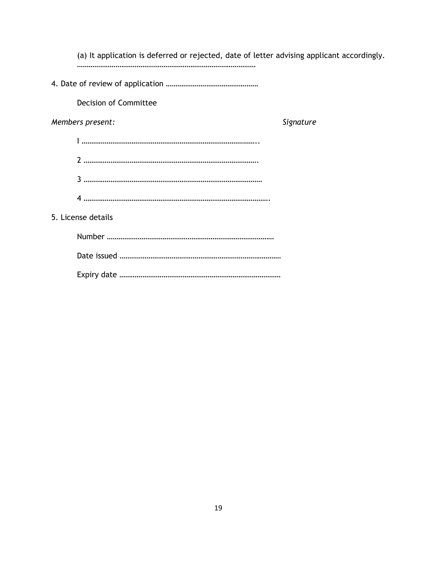| (a) It application is deferred or rejected, date of letter advising applicant accordingly. |           |
|--------------------------------------------------------------------------------------------|-----------|
|                                                                                            |           |
| <b>Decision of Committee</b>                                                               |           |
| Members present:                                                                           | Signature |
|                                                                                            |           |
|                                                                                            |           |
|                                                                                            |           |
|                                                                                            |           |
| 5. License details                                                                         |           |
|                                                                                            |           |
|                                                                                            |           |
|                                                                                            |           |